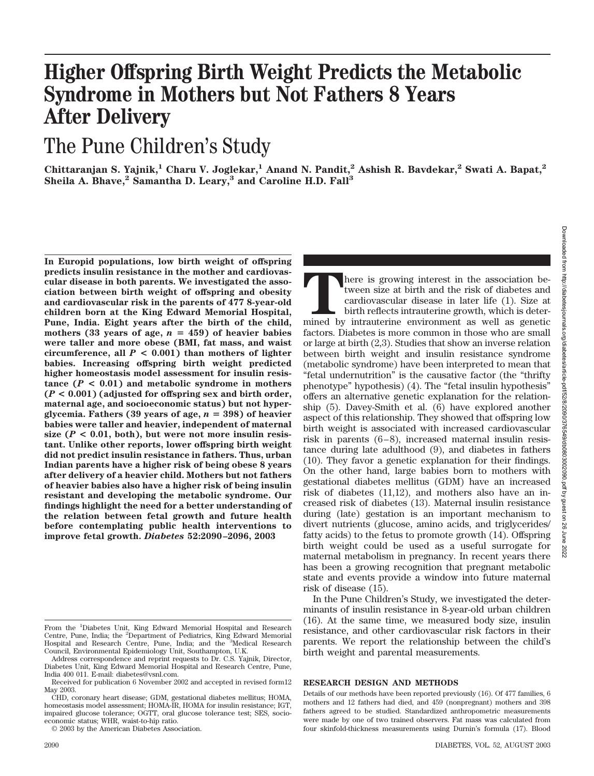# **Higher Offspring Birth Weight Predicts the Metabolic Syndrome in Mothers but Not Fathers 8 Years After Delivery**

## The Pune Children's Study

**Chittaranjan S. Yajnik,1 Charu V. Joglekar,1 Anand N. Pandit,2 Ashish R. Bavdekar,2 Swati A. Bapat,2 Sheila A. Bhave,2 Samantha D. Leary,3 and Caroline H.D. Fall3**

**In Europid populations, low birth weight of offspring predicts insulin resistance in the mother and cardiovascular disease in both parents. We investigated the association between birth weight of offspring and obesity and cardiovascular risk in the parents of 477 8-year-old children born at the King Edward Memorial Hospital, Pune, India. Eight years after the birth of the child,** mothers (33 years of age,  $n = 459$ ) of heavier babies **were taller and more obese (BMI, fat mass, and waist circumference, all** *P* **< 0.001) than mothers of lighter babies. Increasing offspring birth weight predicted higher homeostasis model assessment for insulin resis**tance  $(P < 0.01)$  and metabolic syndrome in mothers **(***P* **< 0.001) (adjusted for offspring sex and birth order, maternal age, and socioeconomic status) but not hyperglycemia. Fathers (39 years of age,**  $n = 398$ **) of heavier babies were taller and heavier, independent of maternal** size  $(P < 0.01$ , both), but were not more insulin resis**tant. Unlike other reports, lower offspring birth weight did not predict insulin resistance in fathers. Thus, urban Indian parents have a higher risk of being obese 8 years after delivery of a heavier child. Mothers but not fathers of heavier babies also have a higher risk of being insulin resistant and developing the metabolic syndrome. Our findings highlight the need for a better understanding of the relation between fetal growth and future health before contemplating public health interventions to improve fetal growth.** *Diabetes* **52:2090 –2096, 2003**

© 2003 by the American Diabetes Association.

There is growing interest in the association be-<br>tween size at birth and the risk of diabetes and<br>cardiovascular disease in later life (1). Size at<br>birth reflects intrauterine growth, which is deter-<br>mined by intrauterine tween size at birth and the risk of diabetes and cardiovascular disease in later life (1). Size at birth reflects intrauterine growth, which is deterfactors. Diabetes is more common in those who are small or large at birth (2,3). Studies that show an inverse relation between birth weight and insulin resistance syndrome (metabolic syndrome) have been interpreted to mean that "fetal undernutrition" is the causative factor (the "thrifty phenotype" hypothesis) (4). The "fetal insulin hypothesis" offers an alternative genetic explanation for the relationship (5). Davey-Smith et al. (6) have explored another aspect of this relationship. They showed that offspring low birth weight is associated with increased cardiovascular risk in parents  $(6-8)$ , increased maternal insulin resistance during late adulthood (9), and diabetes in fathers (10). They favor a genetic explanation for their findings. On the other hand, large babies born to mothers with gestational diabetes mellitus (GDM) have an increased risk of diabetes  $(11,12)$ , and mothers also have an increased risk of diabetes (13). Maternal insulin resistance during (late) gestation is an important mechanism to divert nutrients (glucose, amino acids, and triglycerides/ fatty acids) to the fetus to promote growth (14). Offspring birth weight could be used as a useful surrogate for maternal metabolism in pregnancy. In recent years there has been a growing recognition that pregnant metabolic state and events provide a window into future maternal risk of disease (15).

In the Pune Children's Study, we investigated the determinants of insulin resistance in 8-year-old urban children (16). At the same time, we measured body size, insulin resistance, and other cardiovascular risk factors in their parents. We report the relationship between the child's birth weight and parental measurements.

## **RESEARCH DESIGN AND METHODS**

From the <sup>1</sup>Diabetes Unit, King Edward Memorial Hospital and Research Centre, Pune, India; the <sup>2</sup>Department of Pediatrics, King Edward Memorial Hospital and Research Centre, Pune, India; and the <sup>3</sup>Medical Research Council, Environmental Epidemiology Unit, Southampton, U.K.

Address correspondence and reprint requests to Dr. C.S. Yajnik, Director, Diabetes Unit, King Edward Memorial Hospital and Research Centre, Pune, India 400 011. E-mail: diabetes@vsnl.com.

Received for publication 6 November 2002 and accepted in revised form12 May 2003.

CHD, coronary heart disease; GDM, gestational diabetes mellitus; HOMA, homeostasis model assessment; HOMA-IR, HOMA for insulin resistance; IGT, impaired glucose tolerance; OGTT, oral glucose tolerance test; SES, socioeconomic status; WHR, waist-to-hip ratio.

Details of our methods have been reported previously (16). Of 477 families, 6 mothers and 12 fathers had died, and 459 (nonpregnant) mothers and 398 fathers agreed to be studied. Standardized anthropometric measurements were made by one of two trained observers. Fat mass was calculated from four skinfold-thickness measurements using Durnin's formula (17). Blood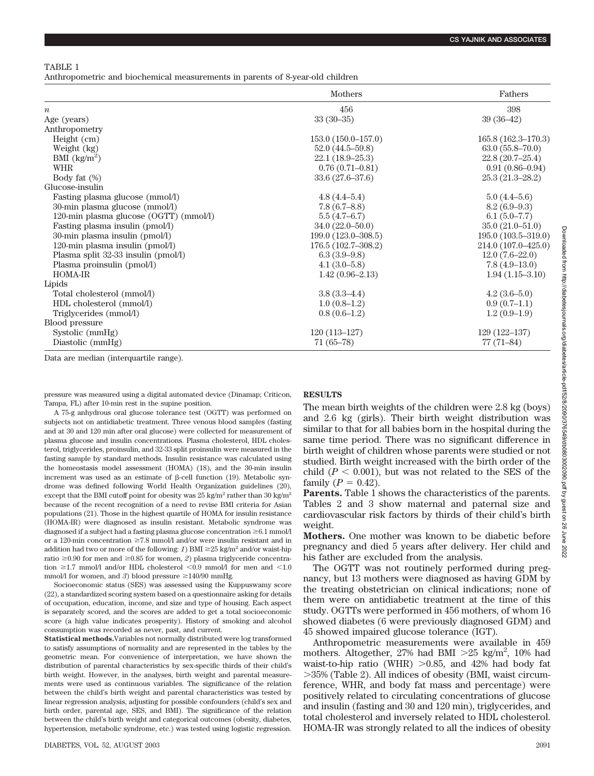TABLE 1

Anthropometric and biochemical measurements in parents of 8-year-old children

|                                        | <b>Mothers</b>       | Fathers              |  |  |
|----------------------------------------|----------------------|----------------------|--|--|
| $\boldsymbol{n}$                       | 456                  | 398                  |  |  |
| Age (years)                            | $33(30-35)$          | $39(36-42)$          |  |  |
| Anthropometry                          |                      |                      |  |  |
| Height (cm)                            | $153.0(150.0-157.0)$ | $165.8(162.3-170.3)$ |  |  |
| Weight (kg)                            | $52.0(44.5-59.8)$    | $63.0(55.8-70.0)$    |  |  |
| BMI $\left(\frac{kg}{m^2}\right)$      | $22.1(18.9-25.3)$    | $22.8(20.7-25.4)$    |  |  |
| <b>WHR</b>                             | $0.76(0.71 - 0.81)$  | $0.91(0.86 - 0.94)$  |  |  |
| Body fat $(\%)$                        | $33.6(27.6 - 37.6)$  | $25.3(21.3 - 28.2)$  |  |  |
| Glucose-insulin                        |                      |                      |  |  |
| Fasting plasma glucose (mmol/l)        | $4.8(4.4-5.4)$       | $5.0(4.4-5.6)$       |  |  |
| 30-min plasma glucose (mmol/l)         | $7.8(6.7 - 8.8)$     | $8.2(6.9-9.3)$       |  |  |
| 120-min plasma glucose (OGTT) (mmol/l) | 5.5(4.7–6.7)         | $6.1(5.0-7.7)$       |  |  |
| Fasting plasma insulin (pmol/l)        | $34.0(22.0 - 50.0)$  | $35.0(21.0-51.0)$    |  |  |
| 30-min plasma insulin (pmol/l)         | 199.0 (123.0–308.5)  | $195.0(103.5-319.0)$ |  |  |
| 120-min plasma insulin (pmol/l)        | 176.5 (102.7-308.2)  | 214.0 (107.0–425.0)  |  |  |
| Plasma split 32-33 insulin (pmol/l)    | $6.3(3.9-9.8)$       | $12.0(7.6-22.0)$     |  |  |
| Plasma proinsulin (pmol/l)             | $4.1(3.0-5.8)$       | $7.8(4.9-13.0)$      |  |  |
| <b>HOMA-IR</b>                         | $1.42(0.96-2.13)$    | $1.94(1.15-3.10)$    |  |  |
| Lipids                                 |                      |                      |  |  |
| Total cholesterol (mmol/l)             | $3.8(3.3-4.4)$       | $4.2(3.6-5.0)$       |  |  |
| HDL cholesterol (mmol/l)               | $1.0(0.8-1.2)$       | $0.9(0.7-1.1)$       |  |  |
| Triglycerides (mmol/l)                 | $0.8(0.6-1.2)$       | $1.2(0.9-1.9)$       |  |  |
| Blood pressure                         |                      |                      |  |  |
| Systolic (mmHg)                        | $120(113-127)$       | $129(122 - 137)$     |  |  |
| Diastolic (mmHg)                       | $71(65-78)$          | $77(71-84)$          |  |  |

Data are median (interquartile range).

pressure was measured using a digital automated device (Dinamap; Criticon, Tampa, FL) after 10-min rest in the supine position.

A 75-g anhydrous oral glucose tolerance test (OGTT) was performed on subjects not on antidiabetic treatment. Three venous blood samples (fasting and at 30 and 120 min after oral glucose) were collected for measurement of plasma glucose and insulin concentrations. Plasma cholesterol, HDL cholesterol, triglycerides, proinsulin, and 32-33 split proinsulin were measured in the fasting sample by standard methods. Insulin resistance was calculated using the homeostasis model assessment (HOMA) (18), and the 30-min insulin increment was used as an estimate of  $\beta$ -cell function (19). Metabolic syndrome was defined following World Health Organization guidelines (20), except that the BMI cutoff point for obesity was  $25 \text{ kg/m}^2$  rather than 30 kg/m<sup>2</sup> because of the recent recognition of a need to revise BMI criteria for Asian populations (21). Those in the highest quartile of HOMA for insulin resistance (HOMA-IR) were diagnosed as insulin resistant. Metabolic syndrome was diagnosed if a subject had a fasting plasma glucose concentration  $\geq 6.1$  mmol/l or a 120-min concentration  $\geq 7.8$  mmol/l and/or were insulin resistant and in addition had two or more of the following: *1*) BMI  $\geq$  25 kg/m<sup>2</sup> and/or waist-hip ratio  $\geq 0.90$  for men and  $\geq 0.85$  for women, *2*) plasma triglyceride concentration  $\geq 1.7$  mmol/l and/or HDL cholesterol <0.9 mmol/l for men and <1.0 mmol/l for women, and 3) blood pressure  $\geq 140/90$  mmHg.

Socioeconomic status (SES) was assessed using the Kuppuswamy score (22), a standardized scoring system based on a questionnaire asking for details of occupation, education, income, and size and type of housing. Each aspect is separately scored, and the scores are added to get a total socioeconomic score (a high value indicates prosperity). History of smoking and alcohol consumption was recorded as never, past, and current.

**Statistical methods.**Variables not normally distributed were log transformed to satisfy assumptions of normality and are represented in the tables by the geometric mean. For convenience of interpretation, we have shown the distribution of parental characteristics by sex-specific thirds of their child's birth weight. However, in the analyses, birth weight and parental measurements were used as continuous variables. The significance of the relation between the child's birth weight and parental characteristics was tested by linear regression analysis, adjusting for possible confounders (child's sex and birth order, parental age, SES, and BMI). The significance of the relation between the child's birth weight and categorical outcomes (obesity, diabetes, hypertension, metabolic syndrome, etc.) was tested using logistic regression.

**RESULTS**

The mean birth weights of the children were 2.8 kg (boys) and 2.6 kg (girls). Their birth weight distribution was similar to that for all babies born in the hospital during the same time period. There was no significant difference in birth weight of children whose parents were studied or not studied. Birth weight increased with the birth order of the child  $(P < 0.001)$ , but was not related to the SES of the family  $(P = 0.42)$ .

**Parents.** Table 1 shows the characteristics of the parents. Tables 2 and 3 show maternal and paternal size and cardiovascular risk factors by thirds of their child's birth weight.

**Mothers.** One mother was known to be diabetic before pregnancy and died 5 years after delivery. Her child and his father are excluded from the analysis.

The OGTT was not routinely performed during pregnancy, but 13 mothers were diagnosed as having GDM by the treating obstetrician on clinical indications; none of them were on antidiabetic treatment at the time of this study. OGTTs were performed in 456 mothers, of whom 16 showed diabetes (6 were previously diagnosed GDM) and 45 showed impaired glucose tolerance (IGT).

Anthropometric measurements were available in 459 mothers. Altogether, 27% had BMI  $>25$  kg/m<sup>2</sup>, 10% had waist-to-hip ratio (WHR)  $>0.85$ , and 42% had body fat 35% (Table 2). All indices of obesity (BMI, waist circumference, WHR, and body fat mass and percentage) were positively related to circulating concentrations of glucose and insulin (fasting and 30 and 120 min), triglycerides, and total cholesterol and inversely related to HDL cholesterol. HOMA-IR was strongly related to all the indices of obesity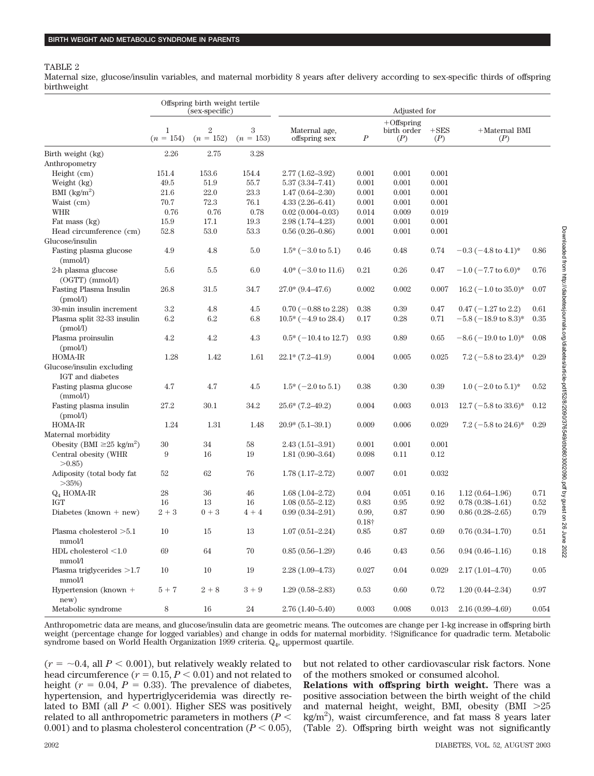#### TABLE 2

Maternal size, glucose/insulin variables, and maternal morbidity 8 years after delivery according to sex-specific thirds of offspring birthweight

|                                               | Offspring birth weight tertile<br>(sex-specific) |                               |                  |                                 | Adjusted for           |                                     |                |                                 |          |
|-----------------------------------------------|--------------------------------------------------|-------------------------------|------------------|---------------------------------|------------------------|-------------------------------------|----------------|---------------------------------|----------|
|                                               | $\mathbf{1}$<br>$(n = 154)$                      | $\overline{2}$<br>$(n = 152)$ | 3<br>$(n = 153)$ | Maternal age,<br>offspring sex  | $\boldsymbol{P}$       | $+$ Offspring<br>birth order<br>(P) | $+$ SES<br>(P) | $+{\rm Maternal}$ BMI<br>(P)    |          |
| Birth weight (kg)                             | 2.26                                             | 2.75                          | 3.28             |                                 |                        |                                     |                |                                 |          |
| Anthropometry                                 |                                                  |                               |                  |                                 |                        |                                     |                |                                 |          |
| Height (cm)                                   | 151.4                                            | 153.6                         | 154.4            | $2.77(1.62 - 3.92)$             | 0.001                  | 0.001                               | 0.001          |                                 |          |
| Weight (kg)                                   | $\rm 49.5$                                       | 51.9                          | $55.7\,$         | $5.37(3.34 - 7.41)$             | 0.001                  | 0.001                               | 0.001          |                                 |          |
| BMI $(kg/m^2)$                                | 21.6                                             | 22.0                          | 23.3             | $1.47(0.64 - 2.30)$             | 0.001                  | 0.001                               | 0.001          |                                 |          |
| Waist (cm)                                    | 70.7                                             | 72.3                          | 76.1             | $4.33(2.26 - 6.41)$             | 0.001                  | 0.001                               | 0.001          |                                 |          |
| <b>WHR</b>                                    | 0.76                                             | $0.76\,$                      | 0.78             | $0.02(0.004 - 0.03)$            | 0.014                  | 0.009                               | $\,0.019\,$    |                                 |          |
| Fat mass (kg)                                 | 15.9                                             | 17.1                          | 19.3             | $2.98(1.74 - 4.23)$             | 0.001                  | 0.001                               | 0.001          |                                 |          |
| Head circumference (cm)                       | 52.8                                             | 53.0                          | 53.3             | $0.56(0.26 - 0.86)$             | 0.001                  | 0.001                               | 0.001          |                                 |          |
| Glucose/insulin                               |                                                  |                               |                  |                                 |                        |                                     |                |                                 |          |
| Fasting plasma glucose<br>(mmol/l)            | 4.9                                              | 4.8                           | 5.0              | $1.5^*$ (-3.0 to 5.1)           | 0.46                   | 0.48                                | 0.74           | $-0.3$ ( $-4.8$ to $4.1$ )*     | 0.86     |
| 2-h plasma glucose<br>$(OGTT)$ (mmol/l)       | 5.6                                              | $5.5\,$                       | 6.0              | $4.0^* (-3.0 \text{ to } 11.6)$ | 0.21                   | 0.26                                | 0.47           | $-1.0$ ( $-7.7$ to 6.0)*        | 0.76     |
| Fasting Plasma Insulin<br>(pmol/l)            | 26.8                                             | 31.5                          | 34.7             | $27.0*(9.4–47.6)$               | 0.002                  | 0.002                               | 0.007          | $16.2$ (-1.0 to 35.0)*          | 0.07     |
| $30\mathrm{\text -min}$ insulin increment     | 3.2                                              | 4.8                           | 4.5              | $0.70$ (-0.88 to 2.28)          | 0.38                   | 0.39                                | 0.47           | $0.47$ (-1.27 to 2.2)           | 0.61     |
| Plasma split 32-33 insulin<br>(pmol/l)        | $6.2\,$                                          | $6.2\,$                       | 6.8              | $10.5*(-4.9 \text{ to } 28.4)$  | 0.17                   | 0.28                                | 0.71           | $-5.8$ ( $-18.9$ to $8.3$ )*    | 0.35     |
| Plasma proinsulin<br>(pmol/l)                 | 4.2                                              | 4.2                           | 4.3              | $0.5^*$ (-10.4 to 12.7)         | 0.93                   | 0.89                                | 0.65           | $-8.6$ ( $-19.0$ to 1.0)*       | 0.08     |
| HOMA-IR                                       | 1.28                                             | 1.42                          | 1.61             | $22.1* (7.2 - 41.9)$            | 0.004                  | 0.005                               | 0.025          | $7.2$ (-5.8 to 23.4)*           | 0.29     |
| Glucose/insulin excluding<br>IGT and diabetes |                                                  |                               |                  |                                 |                        |                                     |                |                                 |          |
| Fasting plasma glucose<br>(mmol/l)            | 4.7                                              | 4.7                           | 4.5              | $1.5^*$ (-2.0 to 5.1)           | 0.38                   | 0.30                                | 0.39           | $1.0$ (-2.0 to 5.1)*            | 0.52     |
| Fasting plasma insulin<br>(pmol/l)            | 27.2                                             | 30.1                          | 34.2             | $25.6*(7.2-49.2)$               | 0.004                  | 0.003                               | 0.013          | $12.7$ (-5.8 to 33.6)*          | 0.12     |
| HOMA-IR                                       | 1.24                                             | 1.31                          | 1.48             | $20.9*(5.1-39.1)$               | 0.009                  | 0.006                               | 0.029          | 7.2 $(-5.8 \text{ to } 24.6)^*$ | 0.29     |
| Maternal morbidity                            |                                                  |                               |                  |                                 |                        |                                     |                |                                 |          |
| Obesity (BMI $\geq 25$ kg/m <sup>2</sup> )    | 30                                               | 34                            | 58               | $2.43(1.51 - 3.91)$             | 0.001                  | 0.001                               | 0.001          |                                 |          |
| Central obesity (WHR<br>>0.85                 | 9                                                | 16                            | 19               | $1.81(0.90 - 3.64)$             | 0.098                  | 0.11                                | 0.12           |                                 |          |
| Adiposity (total body fat<br>$>35\%)$         | 52                                               | 62                            | 76               | $1.78(1.17-2.72)$               | 0.007                  | 0.01                                | 0.032          |                                 |          |
| $Q_4$ HOMA-IR                                 | $28\,$                                           | 36                            | 46               | $1.68(1.04 - 2.72)$             | 0.04                   | 0.051                               | 0.16           | $1.12(0.64 - 1.96)$             | 0.71     |
| <b>IGT</b>                                    | 16                                               | 13                            | 16               | $1.08(0.55 - 2.12)$             | $\rm 0.83$             | 0.95                                | $\rm 0.92$     | $0.78(0.38 - 1.61)$             | 0.52     |
| Diabetes (known + $new$ )                     | $2 + 3$                                          | $0 + 3$                       | $4 + 4$          | $0.99(0.34 - 2.91)$             | 0.99,<br>$0.18\dagger$ | 0.87                                | 0.90           | $0.86(0.28 - 2.65)$             | 0.79     |
| Plasma cholesterol >5.1<br>mmol/l             | 10                                               | 15                            | $13\,$           | $1.07(0.51 - 2.24)$             | $0.85\,$               | $0.87\,$                            | 0.69           | $0.76(0.34 - 1.70)$             | $0.51\,$ |
| HDL cholesterol $<1.0$<br>mmol/l              | $69\,$                                           | $64\,$                        | $70\,$           | $0.85(0.56-1.29)$               | 0.46                   | 0.43                                | 0.56           | $0.94(0.46 - 1.16)$             | 0.18     |
| Plasma triglycerides $>1.7$<br>mmol/l         | 10                                               | $10\,$                        | $19\,$           | $2.28(1.09-4.73)$               | 0.027                  | 0.04                                | 0.029          | $2.17(1.01 - 4.70)$             | $0.05\,$ |
| Hypertension (known +<br>new)                 | $5 + 7$                                          | $2 + 8$                       | $3 + 9$          | $1.29(0.58-2.83)$               | 0.53                   | 0.60                                | $0.72\,$       | $1.20(0.44 - 2.34)$             | 0.97     |
| Metabolic syndrome                            | 8                                                | 16                            | $24\,$           | $2.76(1.40-5.40)$               | 0.003                  | 0.008                               | 0.013          | $2.16(0.99 - 4.69)$             | 0.054    |

Anthropometric data are means, and glucose/insulin data are geometric means. The outcomes are change per 1-kg increase in offspring birth weight (percentage change for logged variables) and change in odds for maternal morbidity. †Significance for quadradic term. Metabolic syndrome based on World Health Organization 1999 criteria.  $Q_4$ , uppermost quartile.

 $(r = \sim 0.4$ , all  $P < 0.001$ ), but relatively weakly related to head circumference  $(r = 0.15, P < 0.01)$  and not related to height ( $r = 0.04$ ,  $P = 0.33$ ). The prevalence of diabetes, hypertension, and hypertriglyceridemia was directly related to BMI (all  $P < 0.001$ ). Higher SES was positively related to all anthropometric parameters in mothers ( $P <$  $(0.001)$  and to plasma cholesterol concentration ( $P < 0.05$ ),

but not related to other cardiovascular risk factors. None of the mothers smoked or consumed alcohol.

**Relations with offspring birth weight.** There was a positive association between the birth weight of the child and maternal height, weight, BMI, obesity (BMI  $>25$ kg/m<sup>2</sup> ), waist circumference, and fat mass 8 years later (Table 2). Offspring birth weight was not significantly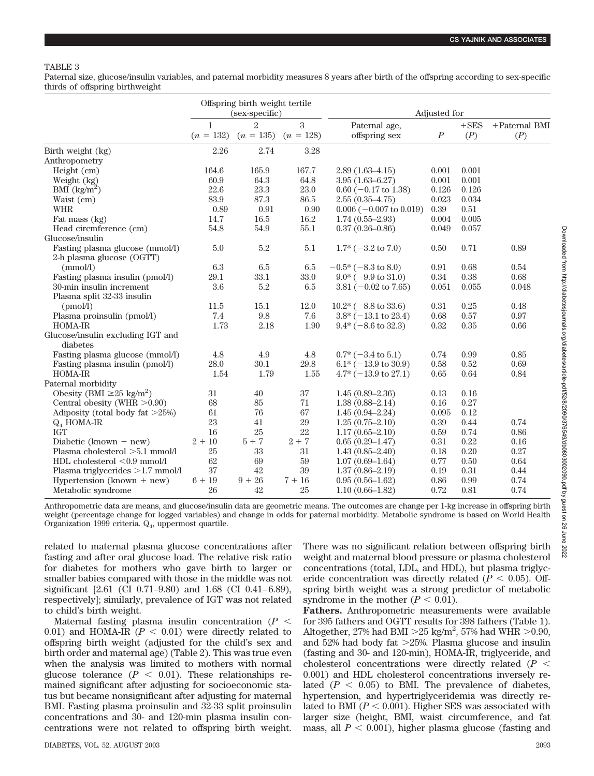## TABLE 3

Paternal size, glucose/insulin variables, and paternal morbidity measures 8 years after birth of the offspring according to sex-specific thirds of offspring birthweight

|                                               | Offspring birth weight tertile<br>(sex-specific) |                               |                  | Adjusted for                     |                  |                |                         |
|-----------------------------------------------|--------------------------------------------------|-------------------------------|------------------|----------------------------------|------------------|----------------|-------------------------|
|                                               | $\mathbf{1}$<br>$(n = 132)$                      | $\mathfrak{D}$<br>$(n = 135)$ | 3<br>$(n = 128)$ | Paternal age,<br>offspring sex   | $\boldsymbol{P}$ | $+$ SES<br>(P) | $+$ Paternal BMI<br>(P) |
| Birth weight (kg)                             | 2.26                                             | 2.74                          | 3.28             |                                  |                  |                |                         |
| Anthropometry                                 |                                                  |                               |                  |                                  |                  |                |                         |
| Height $(cm)$                                 | 164.6                                            | 165.9                         | 167.7            | $2.89(1.63 - 4.15)$              | 0.001            | 0.001          |                         |
| Weight (kg)                                   | 60.9                                             | 64.3                          | 64.8             | $3.95(1.63 - 6.27)$              | 0.001            | 0.001          |                         |
| BMI $(kg/m^2)$                                | 22.6                                             | 23.3                          | $23.0\,$         | $0.60$ (-0.17 to 1.38)           | 0.126            | 0.126          |                         |
| Waist (cm)                                    | 83.9                                             | 87.3                          | 86.5             | $2.55(0.35-4.75)$                | 0.023            | 0.034          |                         |
| <b>WHR</b>                                    | 0.89                                             | 0.91                          | $0.90\,$         | $0.006$ ( $-0.007$ to $0.019$ )  | $0.39\,$         | 0.51           |                         |
| Fat mass (kg)                                 | 14.7                                             | 16.5                          | $16.2\,$         | $1.74(0.55 - 2.93)$              | 0.004            | 0.005          |                         |
| Head circmference (cm)                        | 54.8                                             | 54.9                          | 55.1             | $0.37(0.26 - 0.86)$              | 0.049            | 0.057          |                         |
| Glucose/insulin                               |                                                  |                               |                  |                                  |                  |                |                         |
| Fasting plasma glucose (mmol/l)               | 5.0                                              | $5.2\,$                       | $5.1\,$          | $1.7*(-3.2 \text{ to } 7.0)$     | $0.50\,$         | 0.71           | 0.89                    |
| 2-h plasma glucose (OGTT)                     |                                                  |                               |                  |                                  |                  |                |                         |
| (mmol/l)                                      | $6.3\,$                                          | 6.5                           | $6.5\,$          | $-0.5*$ ( $-8.3$ to 8.0)         | 0.91             | 0.68           | 0.54                    |
| Fasting plasma insulin (pmol/l)               | 29.1                                             | 33.1                          | 33.0             | $9.0^* (-9.9 \text{ to } 31.0)$  | $0.34\,$         | 0.38           | 0.68                    |
| 30-min insulin increment                      | $3.6\,$                                          | 5.2                           | 6.5              | 3.81 ( $-0.02$ to 7.65)          | 0.051            | 0.055          | 0.048                   |
| Plasma split 32-33 insulin                    |                                                  |                               |                  |                                  |                  |                |                         |
| (pmol/l)                                      | 11.5                                             | 15.1                          | 12.0             | $10.2^*(-8.8 \text{ to } 33.6)$  | 0.31             | 0.25           | 0.48                    |
| Plasma proinsulin (pmol/l)                    | 7.4                                              | 9.8                           | 7.6              | $3.8^* (-13.1 \text{ to } 23.4)$ | 0.68             | 0.57           | 0.97                    |
| <b>HOMA-IR</b>                                | 1.73                                             | 2.18                          | 1.90             | $9.4*$ (-8.6 to 32.3)            | 0.32             | 0.35           | 0.66                    |
| Glucose/insulin excluding IGT and<br>diabetes |                                                  |                               |                  |                                  |                  |                |                         |
| Fasting plasma glucose (mmol/l)               | 4.8                                              | 4.9                           | 4.8              | $0.7^*$ (-3.4 to 5.1)            | 0.74             | 0.99           | 0.85                    |
| Fasting plasma insulin (pmol/l)               | 28.0                                             | 30.1                          | 29.8             | $6.1* (-13.9 \text{ to } 30.9)$  | 0.58             | 0.52           | 0.69                    |
| <b>HOMA-IR</b>                                | 1.54                                             | 1.79                          | 1.55             | $4.7^* (-13.9 \text{ to } 27.1)$ | 0.65             | 0.64           | 0.84                    |
| Paternal morbidity                            |                                                  |                               |                  |                                  |                  |                |                         |
| Obesity (BMI $\geq 25$ kg/m <sup>2</sup> )    | 31                                               | 40                            | 37               | $1.45(0.89 - 2.36)$              | 0.13             | 0.16           |                         |
| Central obesity (WHR $>0.90$ )                | 68                                               | 85                            | 71               | $1.38(0.88 - 2.14)$              | 0.16             | 0.27           |                         |
| Adiposity (total body fat $>25\%)$            | 61                                               | 76                            | 67               | $1.45(0.94 - 2.24)$              | 0.095            | 0.12           |                         |
| $Q_4$ HOMA-IR                                 | 23                                               | 41                            | 29               | $1.25(0.75-2.10)$                | 0.39             | 0.44           | 0.74                    |
| <b>IGT</b>                                    | 16                                               | 25                            | 22               | $1.17(0.65 - 2.10)$              | 0.59             | 0.74           | 0.86                    |
| Diabetic (known + $new$ )                     | $2 + 10$                                         | $5 + 7$                       | $2 + 7$          | $0.65(0.29-1.47)$                | $\rm 0.31$       | 0.22           | 0.16                    |
| Plasma cholesterol >5.1 mmol/l                | 25                                               | 33                            | 31               | $1.43(0.85 - 2.40)$              | 0.18             | 0.20           | 0.27                    |
| HDL cholesterol <0.9 mmol/l                   | 62                                               | 69                            | 59               | $1.07(0.69 - 1.64)$              | 0.77             | 0.50           | 0.64                    |
| Plasma triglycerides $>1.7$ mmol/l            | 37                                               | 42                            | 39               | $1.37(0.86 - 2.19)$              | 0.19             | 0.31           | 0.44                    |
| Hypertension (known + $new$ )                 | $6 + 19$                                         | $9 + 26$                      | $7 + 16$         | $0.95(0.56-1.62)$                | 0.86             | 0.99           | 0.74                    |
| Metabolic syndrome                            | 26                                               | 42                            | 25               | $1.10(0.66 - 1.82)$              | 0.72             | 0.81           | 0.74                    |

Downloaded from http://diabetesjournals.org/diabetes/article-pdf/52/8/2090/376549/db0803002090.pdf by guest on 26 June 2022 Downloaded from http://diabetesjournals.org/diabetes/article-pdf/52/8/2090/376549/db0803002090.pdf by guest on 26 June 2022

Anthropometric data are means, and glucose/insulin data are geometric means. The outcomes are change per 1-kg increase in offspring birth weight (percentage change for logged variables) and change in odds for paternal morbidity. Metabolic syndrome is based on World Health Organization 1999 criteria. Q<sub>4</sub>, uppermost quartile.

related to maternal plasma glucose concentrations after fasting and after oral glucose load. The relative risk ratio for diabetes for mothers who gave birth to larger or smaller babies compared with those in the middle was not significant  $[2.61 \,(CI \, 0.71–9.80)$  and  $1.68 \,(CI \, 0.41–6.89)$ , respectively]; similarly, prevalence of IGT was not related to child's birth weight.

Maternal fasting plasma insulin concentration  $(P <$  $(0.01)$  and HOMA-IR ( $P < 0.01$ ) were directly related to offspring birth weight (adjusted for the child's sex and birth order and maternal age) (Table 2). This was true even when the analysis was limited to mothers with normal glucose tolerance  $(P < 0.01)$ . These relationships remained significant after adjusting for socioeconomic status but became nonsignificant after adjusting for maternal BMI. Fasting plasma proinsulin and 32-33 split proinsulin concentrations and 30- and 120-min plasma insulin concentrations were not related to offspring birth weight. There was no significant relation between offspring birth weight and maternal blood pressure or plasma cholesterol concentrations (total, LDL, and HDL), but plasma triglyceride concentration was directly related  $(P < 0.05)$ . Offspring birth weight was a strong predictor of metabolic syndrome in the mother  $(P < 0.01)$ .

**Fathers.** Anthropometric measurements were available for 395 fathers and OGTT results for 398 fathers (Table 1). Altogether, 27% had BMI  $>$  25 kg/m<sup>2</sup>, 57% had WHR  $>$  0.90, and  $52\%$  had body fat  $>25\%$ . Plasma glucose and insulin (fasting and 30- and 120-min), HOMA-IR, triglyceride, and cholesterol concentrations were directly related  $(P \leq$ 0.001) and HDL cholesterol concentrations inversely related  $(P < 0.05)$  to BMI. The prevalence of diabetes, hypertension, and hypertriglyceridemia was directly related to BMI  $(P < 0.001)$ . Higher SES was associated with larger size (height, BMI, waist circumference, and fat mass, all  $P < 0.001$ ), higher plasma glucose (fasting and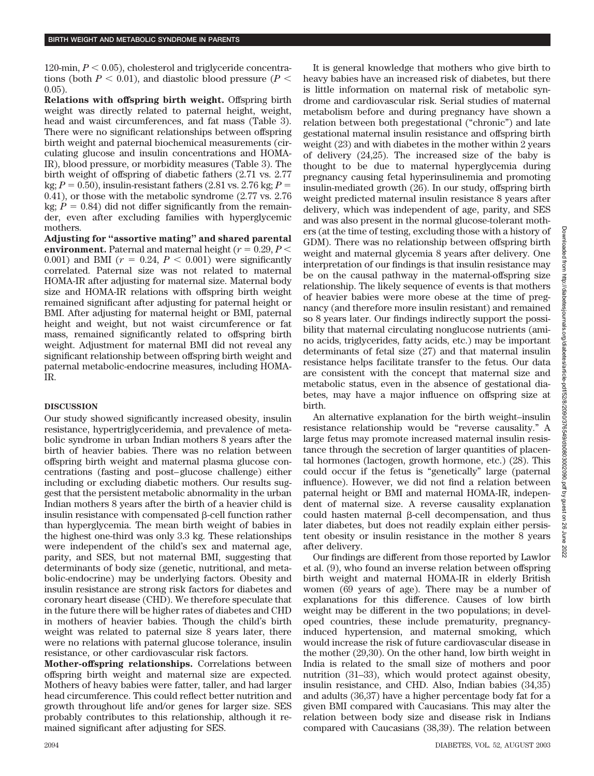120-min,  $P < 0.05$ ), cholesterol and triglyceride concentrations (both  $P < 0.01$ ), and diastolic blood pressure ( $P <$ 0.05).

**Relations with offspring birth weight.** Offspring birth weight was directly related to paternal height, weight, head and waist circumferences, and fat mass (Table 3). There were no significant relationships between offspring birth weight and paternal biochemical measurements (circulating glucose and insulin concentrations and HOMA-IR), blood pressure, or morbidity measures (Table 3). The birth weight of offspring of diabetic fathers (2.71 vs. 2.77 kg;  $P = 0.50$ ), insulin-resistant fathers (2.81 vs. 2.76 kg;  $P =$ 0.41), or those with the metabolic syndrome (2.77 vs. 2.76 kg;  $P = 0.84$ ) did not differ significantly from the remainder, even after excluding families with hyperglycemic mothers.

**Adjusting for "assortive mating" and shared parental environment.** Paternal and maternal height ( $r = 0.29, P <$ 0.001) and BMI  $(r = 0.24, P < 0.001)$  were significantly correlated. Paternal size was not related to maternal HOMA-IR after adjusting for maternal size. Maternal body size and HOMA-IR relations with offspring birth weight remained significant after adjusting for paternal height or BMI. After adjusting for maternal height or BMI, paternal height and weight, but not waist circumference or fat mass, remained significantly related to offspring birth weight. Adjustment for maternal BMI did not reveal any significant relationship between offspring birth weight and paternal metabolic-endocrine measures, including HOMA-IR.

### **DISCUSSION**

Our study showed significantly increased obesity, insulin resistance, hypertriglyceridemia, and prevalence of metabolic syndrome in urban Indian mothers 8 years after the birth of heavier babies. There was no relation between offspring birth weight and maternal plasma glucose concentrations (fasting and post– glucose challenge) either including or excluding diabetic mothers. Our results suggest that the persistent metabolic abnormality in the urban Indian mothers 8 years after the birth of a heavier child is insulin resistance with compensated  $\beta$ -cell function rather than hyperglycemia. The mean birth weight of babies in the highest one-third was only 3.3 kg. These relationships were independent of the child's sex and maternal age, parity, and SES, but not maternal BMI, suggesting that determinants of body size (genetic, nutritional, and metabolic-endocrine) may be underlying factors. Obesity and insulin resistance are strong risk factors for diabetes and coronary heart disease (CHD). We therefore speculate that in the future there will be higher rates of diabetes and CHD in mothers of heavier babies. Though the child's birth weight was related to paternal size 8 years later, there were no relations with paternal glucose tolerance, insulin resistance, or other cardiovascular risk factors.

**Mother-offspring relationships.** Correlations between offspring birth weight and maternal size are expected. Mothers of heavy babies were fatter, taller, and had larger head circumference. This could reflect better nutrition and growth throughout life and/or genes for larger size. SES probably contributes to this relationship, although it remained significant after adjusting for SES.

It is general knowledge that mothers who give birth to heavy babies have an increased risk of diabetes, but there is little information on maternal risk of metabolic syndrome and cardiovascular risk. Serial studies of maternal metabolism before and during pregnancy have shown a relation between both pregestational ("chronic") and late gestational maternal insulin resistance and offspring birth weight (23) and with diabetes in the mother within 2 years of delivery (24,25). The increased size of the baby is thought to be due to maternal hyperglycemia during pregnancy causing fetal hyperinsulinemia and promoting insulin-mediated growth (26). In our study, offspring birth weight predicted maternal insulin resistance 8 years after delivery, which was independent of age, parity, and SES and was also present in the normal glucose-tolerant mothers (at the time of testing, excluding those with a history of GDM). There was no relationship between offspring birth weight and maternal glycemia 8 years after delivery. One interpretation of our findings is that insulin resistance may be on the causal pathway in the maternal-offspring size relationship. The likely sequence of events is that mothers of heavier babies were more obese at the time of pregnancy (and therefore more insulin resistant) and remained so 8 years later. Our findings indirectly support the possibility that maternal circulating nonglucose nutrients (amino acids, triglycerides, fatty acids, etc.) may be important determinants of fetal size (27) and that maternal insulin resistance helps facilitate transfer to the fetus. Our data are consistent with the concept that maternal size and metabolic status, even in the absence of gestational diabetes, may have a major influence on offspring size at birth.

An alternative explanation for the birth weight–insulin resistance relationship would be "reverse causality." A large fetus may promote increased maternal insulin resistance through the secretion of larger quantities of placental hormones (lactogen, growth hormone, etc.) (28). This could occur if the fetus is "genetically" large (paternal influence). However, we did not find a relation between paternal height or BMI and maternal HOMA-IR, independent of maternal size. A reverse causality explanation could hasten maternal  $\beta$ -cell decompensation, and thus later diabetes, but does not readily explain either persistent obesity or insulin resistance in the mother 8 years after delivery.

Our findings are different from those reported by Lawlor et al. (9), who found an inverse relation between offspring birth weight and maternal HOMA-IR in elderly British women (69 years of age). There may be a number of explanations for this difference. Causes of low birth weight may be different in the two populations; in developed countries, these include prematurity, pregnancyinduced hypertension, and maternal smoking, which would increase the risk of future cardiovascular disease in the mother (29,30). On the other hand, low birth weight in India is related to the small size of mothers and poor nutrition (31–33), which would protect against obesity, insulin resistance, and CHD. Also, Indian babies (34,35) and adults (36,37) have a higher percentage body fat for a given BMI compared with Caucasians. This may alter the relation between body size and disease risk in Indians compared with Caucasians (38,39). The relation between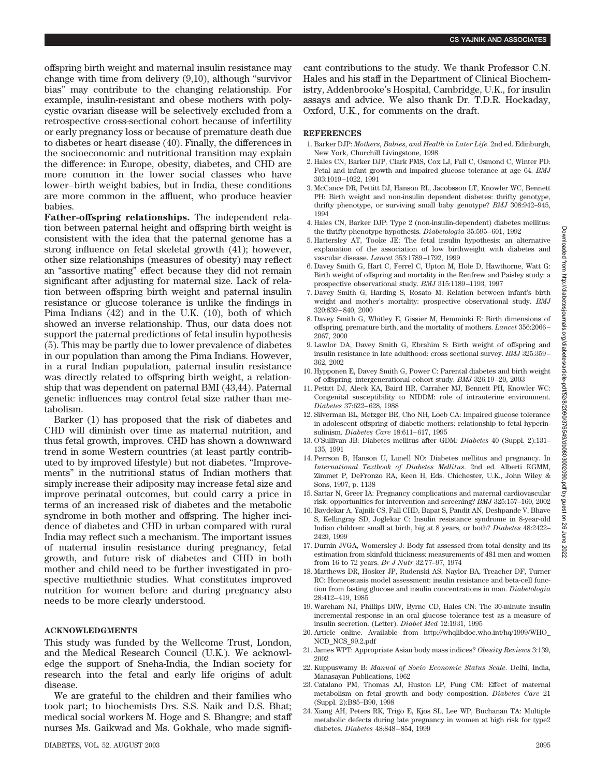offspring birth weight and maternal insulin resistance may change with time from delivery (9,10), although "survivor bias" may contribute to the changing relationship. For example, insulin-resistant and obese mothers with polycystic ovarian disease will be selectively excluded from a retrospective cross-sectional cohort because of infertility or early pregnancy loss or because of premature death due to diabetes or heart disease (40). Finally, the differences in the socioeconomic and nutritional transition may explain the difference: in Europe, obesity, diabetes, and CHD are more common in the lower social classes who have lower– birth weight babies, but in India, these conditions are more common in the affluent, who produce heavier babies.

**Father-offspring relationships.** The independent relation between paternal height and offspring birth weight is consistent with the idea that the paternal genome has a strong influence on fetal skeletal growth (41); however, other size relationships (measures of obesity) may reflect an "assortive mating" effect because they did not remain significant after adjusting for maternal size. Lack of relation between offspring birth weight and paternal insulin resistance or glucose tolerance is unlike the findings in Pima Indians (42) and in the U.K. (10), both of which showed an inverse relationship. Thus, our data does not support the paternal predictions of fetal insulin hypothesis (5). This may be partly due to lower prevalence of diabetes in our population than among the Pima Indians. However, in a rural Indian population, paternal insulin resistance was directly related to offspring birth weight, a relationship that was dependent on paternal BMI (43,44). Paternal genetic influences may control fetal size rather than metabolism.

Barker (1) has proposed that the risk of diabetes and CHD will diminish over time as maternal nutrition, and thus fetal growth, improves. CHD has shown a downward trend in some Western countries (at least partly contributed to by improved lifestyle) but not diabetes. "Improvements" in the nutritional status of Indian mothers that simply increase their adiposity may increase fetal size and improve perinatal outcomes, but could carry a price in terms of an increased risk of diabetes and the metabolic syndrome in both mother and offspring. The higher incidence of diabetes and CHD in urban compared with rural India may reflect such a mechanism. The important issues of maternal insulin resistance during pregnancy, fetal growth, and future risk of diabetes and CHD in both mother and child need to be further investigated in prospective multiethnic studies. What constitutes improved nutrition for women before and during pregnancy also needs to be more clearly understood.

### **ACKNOWLEDGMENTS**

This study was funded by the Wellcome Trust, London, and the Medical Research Council (U.K.). We acknowledge the support of Sneha-India, the Indian society for research into the fetal and early life origins of adult disease.

We are grateful to the children and their families who took part; to biochemists Drs. S.S. Naik and D.S. Bhat; medical social workers M. Hoge and S. Bhangre; and staff nurses Ms. Gaikwad and Ms. Gokhale, who made significant contributions to the study. We thank Professor C.N. Hales and his staff in the Department of Clinical Biochemistry, Addenbrooke's Hospital, Cambridge, U.K., for insulin assays and advice. We also thank Dr. T.D.R. Hockaday, Oxford, U.K., for comments on the draft.

#### **REFERENCES**

- 1. Barker DJP: *Mothers, Babies, and Health in Later Life*. 2nd ed. Edinburgh, New York, Churchill Livingstone, 1998
- 2. Hales CN, Barker DJP, Clark PMS, Cox LJ, Fall C, Osmond C, Winter PD: Fetal and infant growth and impaired glucose tolerance at age 64. *BMJ* 303:1019 –1022, 1991
- 3. McCance DR, Pettitt DJ, Hanson RL, Jacobsson LT, Knowler WC, Bennett PH: Birth weight and non-insulin dependent diabetes: thrifty genotype, thrifty phenotype, or surviving small baby genotype? *BMJ* 308:942–945, 1994
- 4. Hales CN, Barker DJP: Type 2 (non-insulin-dependent) diabetes mellitus: the thrifty phenotype hypothesis. *Diabetologia* 35:595– 601, 1992
- 5. Hattersley AT, Tooke JE: The fetal insulin hypothesis: an alternative explanation of the association of low birthweight with diabetes and vascular disease. *Lancet* 353:1789 –1792, 1999
- 6. Davey Smith G, Hart C, Ferrel C, Upton M, Hole D, Hawthorne, Watt G: Birth weight of offspring and mortality in the Renfrew and Paisley study: a prospective observational study. *BMJ* 315:1189 –1193, 1997
- 7. Davey Smith G, Harding S, Rosato M: Relation between infant's birth weight and mother's mortality: prospective observational study. *BMJ* 320:839 – 840, 2000
- 8. Davey Smith G, Whitley E, Gissier M, Hemminki E: Birth dimensions of offspring, premature birth, and the mortality of mothers. *Lancet* 356:2066 – 2067, 2000
- 9. Lawlor DA, Davey Smith G, Ebrahim S: Birth weight of offspring and insulin resistance in late adulthood: cross sectional survey. *BMJ* 325:359 – 362, 2002
- 10. Hypponen E, Davey Smith G, Power C: Parental diabetes and birth weight of offspring: intergenerational cohort study. *BMJ* 326:19 –20, 2003
- 11. Pettitt DJ, Aleck KA, Baird HR, Carraher MJ, Bennett PH, Knowler WC: Congenital susceptibility to NIDDM: role of intrauterine environment. *Diabetes* 37:622– 628, 1988
- 12. Silverman BL, Metzger BE, Cho NH, Loeb CA: Impaired glucose tolerance in adolescent offspring of diabetic mothers: relationship to fetal hyperinsulinism. *Diabetes Care* 18:611– 617, 1995
- 13. O'Sullivan JB: Diabetes mellitus after GDM: *Diabetes* 40 (Suppl. 2):131– 135, 1991
- 14. Perrson B, Hanson U, Lunell NO: Diabetes mellitus and pregnancy. In *International Textbook of Diabetes Mellitus*. 2nd ed. Alberti KGMM, Zimmet P, DeFronzo RA, Keen H, Eds. Chichester, U.K., John Wiley & Sons, 1997, p. 1138
- 15. Sattar N, Greer IA: Pregnancy complications and maternal cardiovascular risk: opportunities for intervention and screening? *BMJ* 325:157–160, 2002
- 16. Bavdekar A, Yajnik CS, Fall CHD, Bapat S, Pandit AN, Deshpande V, Bhave S, Kellingray SD, Joglekar C: Insulin resistance syndrome in 8-year-old Indian children: small at birth, big at 8 years, or both? *Diabetes* 48:2422– 2429, 1999
- 17. Durnin JVGA, Womersley J: Body fat assessed from total density and its estimation from skinfold thickness: measurements of 481 men and women from 16 to 72 years. *Br J Nutr* 32:77–97, 1974
- 18. Matthews DR, Hosker JP, Rudenski AS, Naylor BA, Treacher DF, Turner RC: Homeostasis model assessment: insulin resistance and beta-cell function from fasting glucose and insulin concentrations in man. *Diabetologia* 28:412– 419, 1985
- 19. Wareham NJ, Phillips DIW, Byrne CD, Hales CN: The 30-minute insulin incremental response in an oral glucose tolerance test as a measure of insulin secretion. (Letter). *Diabet Med* 12:1931, 1995
- 20. Article online. Available from http://whqlibdoc.who.int/hq/1999/WHO\_ NCD\_NCS\_99.2.pdf
- 21. James WPT: Appropriate Asian body mass indices? *Obesity Reviews* 3:139, 2002
- 22. Kuppuswamy B: *Manual of Socio Economic Status Scale*. Delhi, India, Manasayan Publications, 1962
- 23. Catalano PM, Thomas AJ, Huston LP, Fung CM: Effect of maternal metabolism on fetal growth and body composition. *Diabetes Care* 21 (Suppl. 2):B85–B90, 1998
- 24. Xiang AH, Peters RK, Trigo E, Kjos SL, Lee WP, Buchanan TA: Multiple metabolic defects during late pregnancy in women at high risk for type2 diabetes. *Diabetes* 48:848 – 854, 1999